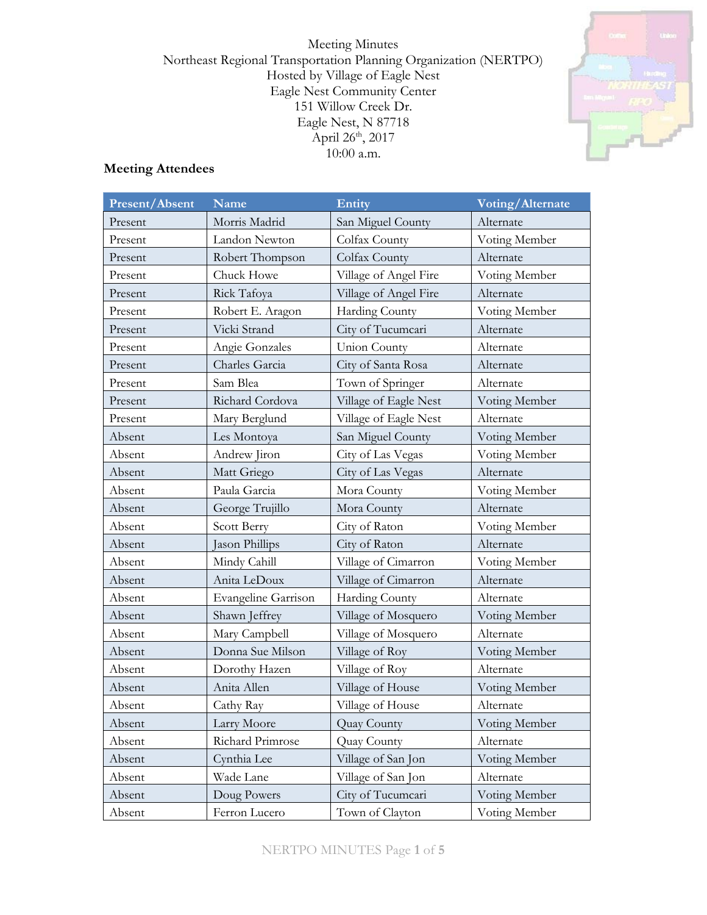Meeting Minutes Northeast Regional Transportation Planning Organization (NERTPO) Hosted by Village of Eagle Nest Eagle Nest Community Center 151 Willow Creek Dr. Eagle Nest, N 87718 April 26<sup>th</sup>, 2017 10:00 a.m.



# **Meeting Attendees**

| <b>Present/Absent</b> | Name                       | Entity                | Voting/Alternate |  |
|-----------------------|----------------------------|-----------------------|------------------|--|
| Present               | Morris Madrid              | San Miguel County     | Alternate        |  |
| Present               | Landon Newton              | Colfax County         | Voting Member    |  |
| Present               | Robert Thompson            | Colfax County         | Alternate        |  |
| Present               | Chuck Howe                 | Village of Angel Fire | Voting Member    |  |
| Present               | Rick Tafoya                | Village of Angel Fire | Alternate        |  |
| Present               | Robert E. Aragon           | Harding County        | Voting Member    |  |
| Present               | Vicki Strand               | City of Tucumcari     | Alternate        |  |
| Present               | Angie Gonzales             | <b>Union County</b>   | Alternate        |  |
| Present               | Charles Garcia             | City of Santa Rosa    | Alternate        |  |
| Present               | Sam Blea                   | Town of Springer      | Alternate        |  |
| Present               | Richard Cordova            | Village of Eagle Nest | Voting Member    |  |
| Present               | Mary Berglund              | Village of Eagle Nest | Alternate        |  |
| Absent                | Les Montoya                | San Miguel County     | Voting Member    |  |
| Absent                | Andrew Jiron               | City of Las Vegas     | Voting Member    |  |
| Absent                | Matt Griego                | City of Las Vegas     | Alternate        |  |
| Absent                | Paula Garcia               | Mora County           | Voting Member    |  |
| Absent                | George Trujillo            | Mora County           | Alternate        |  |
| Absent                | Scott Berry                | City of Raton         | Voting Member    |  |
| Absent                | Jason Phillips             | City of Raton         | Alternate        |  |
| Absent                | Mindy Cahill               | Village of Cimarron   | Voting Member    |  |
| Absent                | Anita LeDoux               | Village of Cimarron   | Alternate        |  |
| Absent                | <b>Evangeline Garrison</b> | Harding County        | Alternate        |  |
| Absent                | Shawn Jeffrey              | Village of Mosquero   | Voting Member    |  |
| Absent                | Mary Campbell              | Village of Mosquero   | Alternate        |  |
| Absent                | Donna Sue Milson           | Village of Roy        | Voting Member    |  |
| Absent                | Dorothy Hazen              | Village of Roy        | Alternate        |  |
| Absent                | Anita Allen                | Village of House      | Voting Member    |  |
| Absent                | Cathy Ray                  | Village of House      | Alternate        |  |
| Absent                | Larry Moore                | Quay County           | Voting Member    |  |
| Absent                | Richard Primrose           | Quay County           | Alternate        |  |
| Absent                | Cynthia Lee                | Village of San Jon    | Voting Member    |  |
| Absent                | Wade Lane                  | Village of San Jon    | Alternate        |  |
| Absent                | Doug Powers                | City of Tucumcari     | Voting Member    |  |
| Absent                | Ferron Lucero              | Town of Clayton       | Voting Member    |  |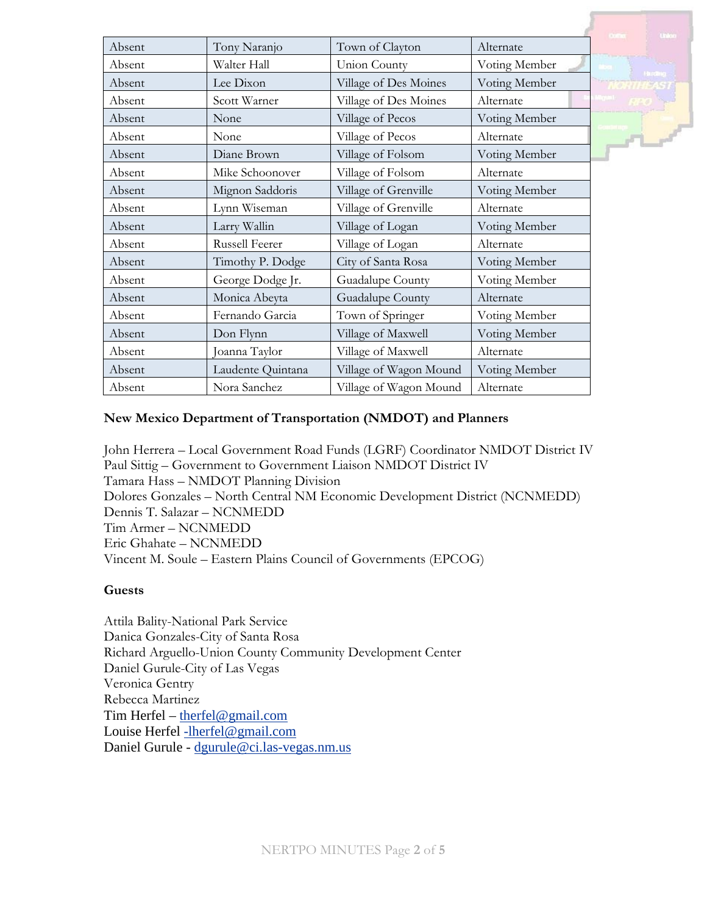|        |                   |                        |               | <b>Union</b>   |
|--------|-------------------|------------------------|---------------|----------------|
| Absent | Tony Naranjo      | Town of Clayton        | Alternate     |                |
| Absent | Walter Hall       | Union County           | Voting Member | <b>Harding</b> |
| Absent | Lee Dixon         | Village of Des Moines  | Voting Member |                |
| Absent | Scott Warner      | Village of Des Moines  | Alternate     |                |
| Absent | None              | Village of Pecos       | Voting Member |                |
| Absent | None              | Village of Pecos       | Alternate     | $F1 -$         |
| Absent | Diane Brown       | Village of Folsom      | Voting Member |                |
| Absent | Mike Schoonover   | Village of Folsom      | Alternate     |                |
| Absent | Mignon Saddoris   | Village of Grenville   | Voting Member |                |
| Absent | Lynn Wiseman      | Village of Grenville   | Alternate     |                |
| Absent | Larry Wallin      | Village of Logan       | Voting Member |                |
| Absent | Russell Feerer    | Village of Logan       | Alternate     |                |
| Absent | Timothy P. Dodge  | City of Santa Rosa     | Voting Member |                |
| Absent | George Dodge Jr.  | Guadalupe County       | Voting Member |                |
| Absent | Monica Abeyta     | Guadalupe County       | Alternate     |                |
| Absent | Fernando Garcia   | Town of Springer       | Voting Member |                |
| Absent | Don Flynn         | Village of Maxwell     | Voting Member |                |
| Absent | Joanna Taylor     | Village of Maxwell     | Alternate     |                |
| Absent | Laudente Quintana | Village of Wagon Mound | Voting Member |                |
| Absent | Nora Sanchez      | Village of Wagon Mound | Alternate     |                |

### **New Mexico Department of Transportation (NMDOT) and Planners**

John Herrera – Local Government Road Funds (LGRF) Coordinator NMDOT District IV Paul Sittig – Government to Government Liaison NMDOT District IV Tamara Hass – NMDOT Planning Division Dolores Gonzales – North Central NM Economic Development District (NCNMEDD) Dennis T. Salazar – NCNMEDD Tim Armer – NCNMEDD Eric Ghahate – NCNMEDD Vincent M. Soule – Eastern Plains Council of Governments (EPCOG)

### **Guests**

Attila Bality-National Park Service Danica Gonzales-City of Santa Rosa Richard Arguello-Union County Community Development Center Daniel Gurule-City of Las Vegas Veronica Gentry Rebecca Martinez Tim Herfel – [therfel@gmail.com](mailto:therfel@gmail.com) Louise Herfel [-lherfel@gmail.com](mailto:-lherfel@gmail.com) Daniel Gurule - [dgurule@ci.las-vegas.nm.us](mailto:dgurule@ci.las-vegas.nm.us)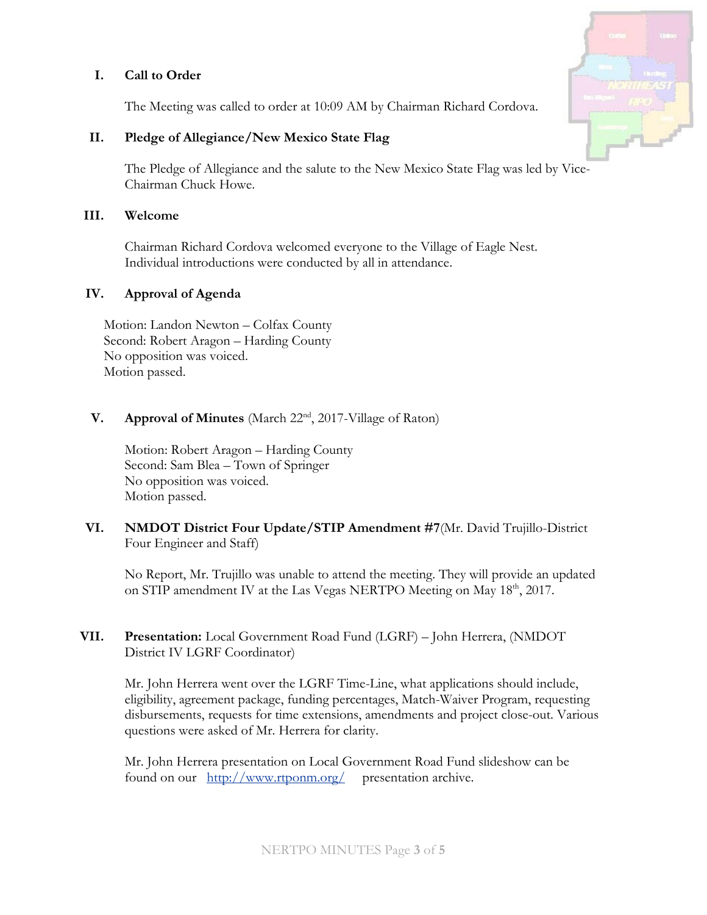## **I. Call to Order**

The Meeting was called to order at 10:09 AM by Chairman Richard Cordova.

### **II. Pledge of Allegiance/New Mexico State Flag**

The Pledge of Allegiance and the salute to the New Mexico State Flag was led by Vice-Chairman Chuck Howe.

### **III. Welcome**

Chairman Richard Cordova welcomed everyone to the Village of Eagle Nest. Individual introductions were conducted by all in attendance.

#### **IV. Approval of Agenda**

Motion: Landon Newton – Colfax County Second: Robert Aragon – Harding County No opposition was voiced. Motion passed.

### **V. Approval of Minutes** (March 22nd, 2017-Village of Raton)

Motion: Robert Aragon – Harding County Second: Sam Blea – Town of Springer No opposition was voiced. Motion passed.

## **VI. NMDOT District Four Update/STIP Amendment #7**(Mr. David Trujillo-District Four Engineer and Staff)

No Report, Mr. Trujillo was unable to attend the meeting. They will provide an updated on STIP amendment IV at the Las Vegas NERTPO Meeting on May 18<sup>th</sup>, 2017.

### **VII. Presentation:** Local Government Road Fund (LGRF) – John Herrera, (NMDOT District IV LGRF Coordinator)

Mr. John Herrera went over the LGRF Time-Line, what applications should include, eligibility, agreement package, funding percentages, Match-Waiver Program, requesting disbursements, requests for time extensions, amendments and project close-out. Various questions were asked of Mr. Herrera for clarity.

Mr. John Herrera presentation on Local Government Road Fund slideshow can be found on our <http://www.rtponm.org/>presentation archive.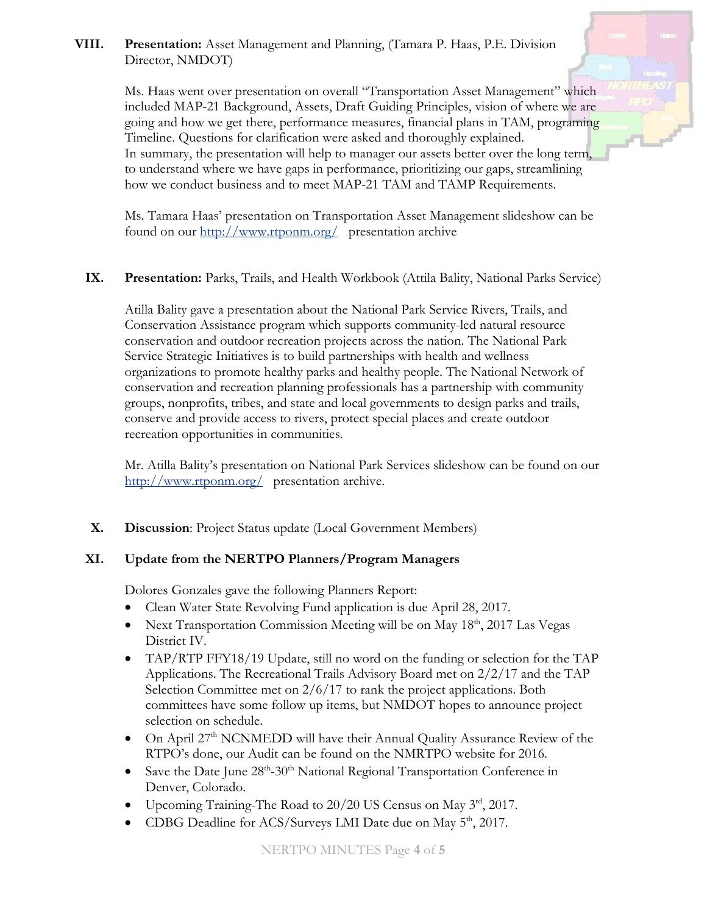## **VIII. Presentation:** Asset Management and Planning, (Tamara P. Haas, P.E. Division Director, NMDOT)

Ms. Haas went over presentation on overall "Transportation Asset Management" which included MAP-21 Background, Assets, Draft Guiding Principles, vision of where we are going and how we get there, performance measures, financial plans in TAM, programing Timeline. Questions for clarification were asked and thoroughly explained. In summary, the presentation will help to manager our assets better over the long term, to understand where we have gaps in performance, prioritizing our gaps, streamlining how we conduct business and to meet MAP-21 TAM and TAMP Requirements.

Ms. Tamara Haas' presentation on Transportation Asset Management slideshow can be found on our <http://www.rtponm.org/>presentation archive

## **IX. Presentation:** Parks, Trails, and Health Workbook (Attila Bality, National Parks Service)

Atilla Bality gave a presentation about the National Park Service Rivers, Trails, and Conservation Assistance program which supports community-led natural resource conservation and outdoor recreation projects across the nation. The National Park Service Strategic Initiatives is to build partnerships with health and wellness organizations to promote healthy parks and healthy people. The National Network of conservation and recreation planning professionals has a partnership with community groups, nonprofits, tribes, and state and local governments to design parks and trails, conserve and provide access to rivers, protect special places and create outdoor recreation opportunities in communities.

Mr. Atilla Bality's presentation on National Park Services slideshow can be found on our <http://www.rtponm.org/>presentation archive.

## **X. Discussion**: Project Status update (Local Government Members)

### **XI. Update from the NERTPO Planners/Program Managers**

Dolores Gonzales gave the following Planners Report:

- Clean Water State Revolving Fund application is due April 28, 2017.
- Next Transportation Commission Meeting will be on May  $18<sup>th</sup>$ , 2017 Las Vegas District IV.
- TAP/RTP FFY18/19 Update, still no word on the funding or selection for the TAP Applications. The Recreational Trails Advisory Board met on 2/2/17 and the TAP Selection Committee met on 2/6/17 to rank the project applications. Both committees have some follow up items, but NMDOT hopes to announce project selection on schedule.
- On April 27<sup>th</sup> NCNMEDD will have their Annual Quality Assurance Review of the RTPO's done, our Audit can be found on the NMRTPO website for 2016.
- Save the Date June  $28<sup>th</sup> 30<sup>th</sup>$  National Regional Transportation Conference in Denver, Colorado.
- Upcoming Training-The Road to 20/20 US Census on May 3<sup>rd</sup>, 2017.
- CDBG Deadline for ACS/Surveys LMI Date due on May  $5<sup>th</sup>$ , 2017.